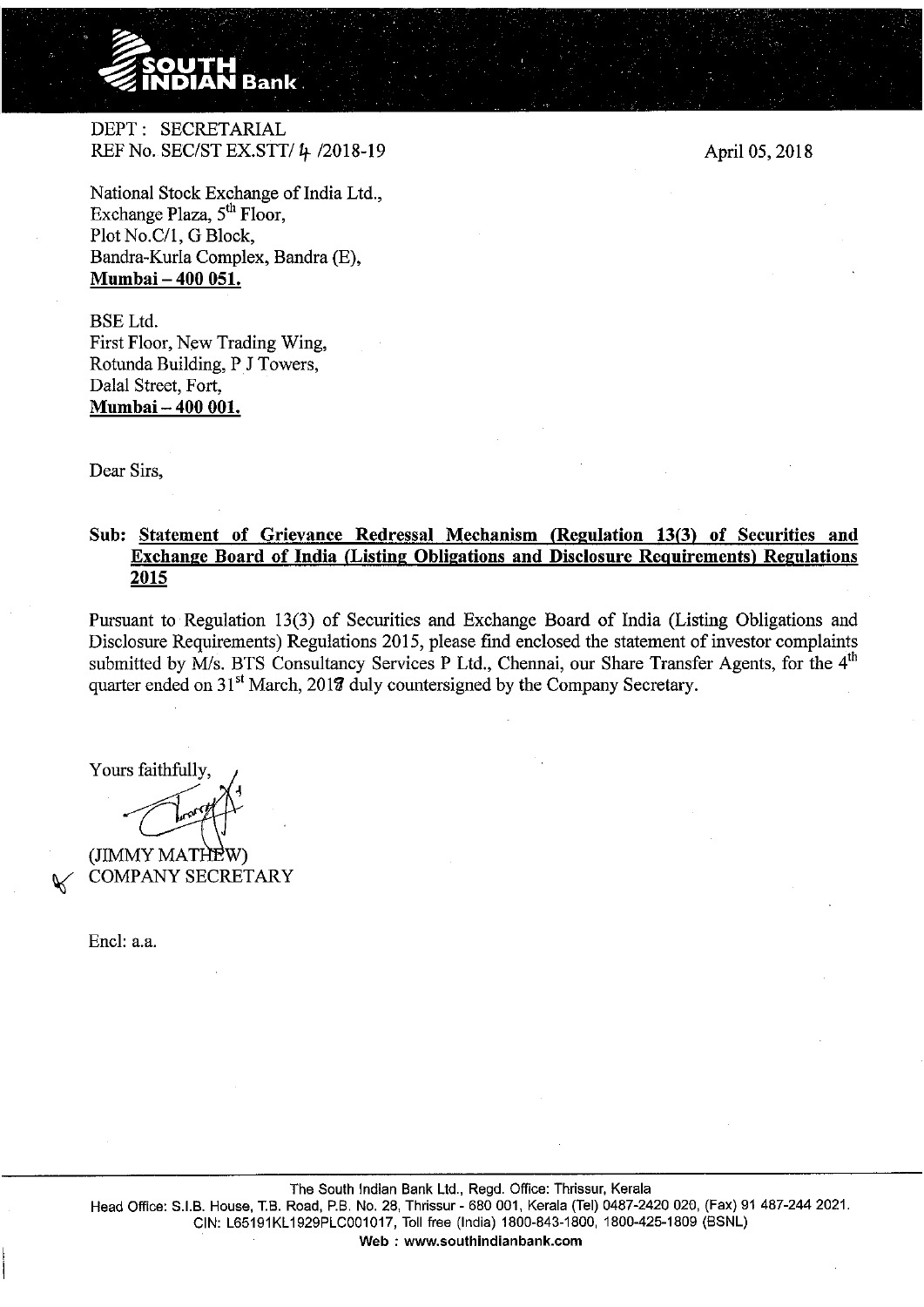

DEPT: SECRETARIAL REF No. SEC/ST EX.STT/ 4 /2018-19

April 05,2018

National Stock Exchange of India Ltd., Exchange Plaza,  $5<sup>th</sup>$  Floor, Plot No.C/1, G Block, Bandra-Kurla Complex, Bandra (E), **Mumbai- 400 051.** 

BSE Ltd. First Floor, New Trading Wing, Rotunda Building, PJ Towers, Dalal Street, Fort, **Mumbai- 400 001.** 

Dear Sirs,

## **Sub: Statement of Grievance Redressal Mechanism (Regulation 13(3) of Securities and Exchange Board of India (Listing Obligations and Disclosure Requirements) Regulations 2015**

Pursuant to Regulation 13(3) of Securities and Exchange Board of India (Listing Obligations and Disclosure Requirements) Regulations 2015, please find enclosed the statement of investor complaints submitted by  $\tilde{M}/s$ . BTS Consultancy Services P Ltd., Chennai, our Share Transfer Agents, for the  $4<sup>th</sup>$ quarter ended on  $31<sup>st</sup>$  March, 2017 duly countersigned by the Company Secretary.

Yours faithfully.

(JIMMY MATHEW) COMPANY SECRETARY

Encl: a.a.